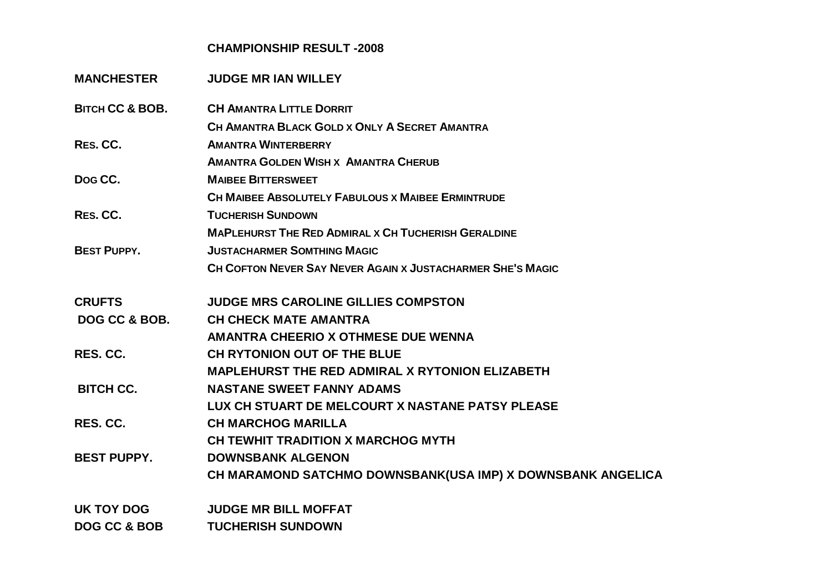## **CHAMPIONSHIP RESULT -2008**

| <b>MANCHESTER</b>          | <b>JUDGE MR IAN WILLEY</b>                                  |
|----------------------------|-------------------------------------------------------------|
| <b>BITCH CC &amp; BOB.</b> | <b>CH AMANTRA LITTLE DORRIT</b>                             |
|                            | CH AMANTRA BLACK GOLD X ONLY A SECRET AMANTRA               |
| RES. CC.                   | <b>AMANTRA WINTERBERRY</b>                                  |
|                            | <b>AMANTRA GOLDEN WISH X AMANTRA CHERUB</b>                 |
| Dog CC.                    | <b>MAIBEE BITTERSWEET</b>                                   |
|                            | <b>CH MAIBEE ABSOLUTELY FABULOUS X MAIBEE ERMINTRUDE</b>    |
| RES. CC.                   | <b>TUCHERISH SUNDOWN</b>                                    |
|                            | <b>MAPLEHURST THE RED ADMIRAL X CH TUCHERISH GERALDINE</b>  |
| <b>BEST PUPPY.</b>         | <b>JUSTACHARMER SOMTHING MAGIC</b>                          |
|                            | CH COFTON NEVER SAY NEVER AGAIN X JUSTACHARMER SHE'S MAGIC  |
| <b>CRUFTS</b>              | <b>JUDGE MRS CAROLINE GILLIES COMPSTON</b>                  |
| DOG CC & BOB.              | <b>CH CHECK MATE AMANTRA</b>                                |
|                            | AMANTRA CHEERIO X OTHMESE DUE WENNA                         |
| RES. CC.                   | CH RYTONION OUT OF THE BLUE                                 |
|                            | <b>MAPLEHURST THE RED ADMIRAL X RYTONION ELIZABETH</b>      |
| <b>BITCH CC.</b>           | <b>NASTANE SWEET FANNY ADAMS</b>                            |
|                            | LUX CH STUART DE MELCOURT X NASTANE PATSY PLEASE            |
| RES. CC.                   | <b>CH MARCHOG MARILLA</b>                                   |
|                            | CH TEWHIT TRADITION X MARCHOG MYTH                          |
| <b>BEST PUPPY.</b>         | <b>DOWNSBANK ALGENON</b>                                    |
|                            | CH MARAMOND SATCHMO DOWNSBANK(USA IMP) X DOWNSBANK ANGELICA |
| UK TOY DOG                 | <b>JUDGE MR BILL MOFFAT</b>                                 |
| <b>DOG CC &amp; BOB</b>    | <b>TUCHERISH SUNDOWN</b>                                    |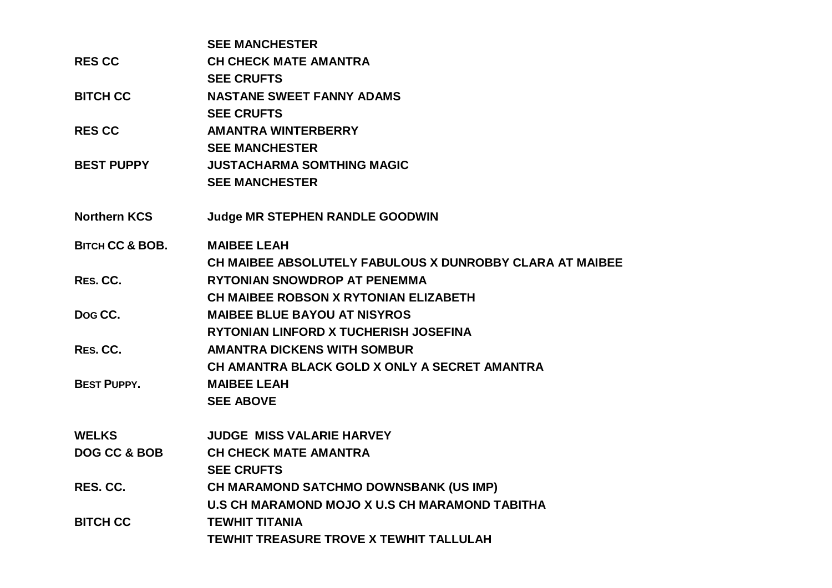|                            | <b>SEE MANCHESTER</b>                                    |
|----------------------------|----------------------------------------------------------|
| <b>RES CC</b>              | <b>CH CHECK MATE AMANTRA</b>                             |
|                            | <b>SEE CRUFTS</b>                                        |
| <b>BITCH CC</b>            | <b>NASTANE SWEET FANNY ADAMS</b>                         |
|                            | <b>SEE CRUFTS</b>                                        |
| <b>RES CC</b>              | <b>AMANTRA WINTERBERRY</b>                               |
|                            | <b>SEE MANCHESTER</b>                                    |
| <b>BEST PUPPY</b>          | <b>JUSTACHARMA SOMTHING MAGIC</b>                        |
|                            | <b>SEE MANCHESTER</b>                                    |
| <b>Northern KCS</b>        | <b>Judge MR STEPHEN RANDLE GOODWIN</b>                   |
| <b>BITCH CC &amp; BOB.</b> | <b>MAIBEE LEAH</b>                                       |
|                            | CH MAIBEE ABSOLUTELY FABULOUS X DUNROBBY CLARA AT MAIBEE |
| RES. CC.                   | <b>RYTONIAN SNOWDROP AT PENEMMA</b>                      |
|                            | <b>CH MAIBEE ROBSON X RYTONIAN ELIZABETH</b>             |
| Dog CC.                    | <b>MAIBEE BLUE BAYOU AT NISYROS</b>                      |
|                            | RYTONIAN LINFORD X TUCHERISH JOSEFINA                    |
| RES. CC.                   | <b>AMANTRA DICKENS WITH SOMBUR</b>                       |
|                            | CH AMANTRA BLACK GOLD X ONLY A SECRET AMANTRA            |
| <b>BEST PUPPY.</b>         | <b>MAIBEE LEAH</b>                                       |
|                            | <b>SEE ABOVE</b>                                         |
| <b>WELKS</b>               | <b>JUDGE MISS VALARIE HARVEY</b>                         |
| DOG CC & BOB               | <b>CH CHECK MATE AMANTRA</b>                             |
|                            | <b>SEE CRUFTS</b>                                        |
| RES. CC.                   | CH MARAMOND SATCHMO DOWNSBANK (US IMP)                   |
|                            | U.S CH MARAMOND MOJO X U.S CH MARAMOND TABITHA           |
| <b>BITCH CC</b>            | <b>TEWHIT TITANIA</b>                                    |
|                            | TEWHIT TREASURE TROVE X TEWHIT TALLULAH                  |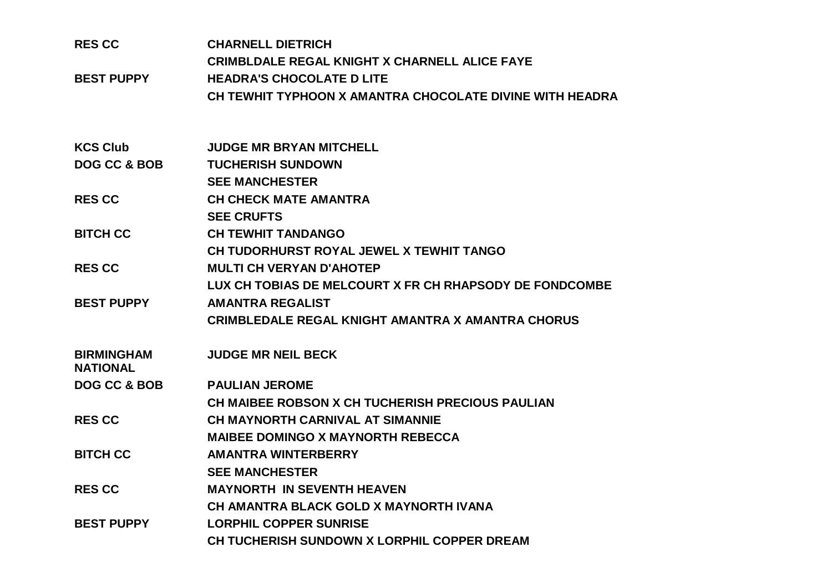| <b>RES CC</b><br><b>BEST PUPPY</b>   | <b>CHARNELL DIETRICH</b><br><b>CRIMBLDALE REGAL KNIGHT X CHARNELL ALICE FAYE</b><br><b>HEADRA'S CHOCOLATE D LITE</b><br>CH TEWHIT TYPHOON X AMANTRA CHOCOLATE DIVINE WITH HEADRA |
|--------------------------------------|----------------------------------------------------------------------------------------------------------------------------------------------------------------------------------|
| <b>KCS Club</b>                      | <b>JUDGE MR BRYAN MITCHELL</b>                                                                                                                                                   |
| DOG CC & BOB                         | <b>TUCHERISH SUNDOWN</b>                                                                                                                                                         |
|                                      | <b>SEE MANCHESTER</b>                                                                                                                                                            |
| <b>RES CC</b>                        | <b>CH CHECK MATE AMANTRA</b>                                                                                                                                                     |
|                                      | <b>SEE CRUFTS</b>                                                                                                                                                                |
| <b>BITCH CC</b>                      | <b>CH TEWHIT TANDANGO</b>                                                                                                                                                        |
|                                      | CH TUDORHURST ROYAL JEWEL X TEWHIT TANGO                                                                                                                                         |
| <b>RESCC</b>                         | <b>MULTI CH VERYAN D'AHOTEP</b>                                                                                                                                                  |
|                                      | LUX CH TOBIAS DE MELCOURT X FR CH RHAPSODY DE FONDCOMBE                                                                                                                          |
| <b>BEST PUPPY</b>                    | <b>AMANTRA REGALIST</b>                                                                                                                                                          |
|                                      | <b>CRIMBLEDALE REGAL KNIGHT AMANTRA X AMANTRA CHORUS</b>                                                                                                                         |
| <b>BIRMINGHAM</b><br><b>NATIONAL</b> | <b>JUDGE MR NEIL BECK</b>                                                                                                                                                        |
| <b>DOG CC &amp; BOB</b>              | <b>PAULIAN JEROME</b>                                                                                                                                                            |
|                                      | CH MAIBEE ROBSON X CH TUCHERISH PRECIOUS PAULIAN                                                                                                                                 |
| <b>RESCC</b>                         | <b>CH MAYNORTH CARNIVAL AT SIMANNIE</b>                                                                                                                                          |
|                                      | <b>MAIBEE DOMINGO X MAYNORTH REBECCA</b>                                                                                                                                         |
| <b>BITCH CC</b>                      | <b>AMANTRA WINTERBERRY</b>                                                                                                                                                       |
|                                      | <b>SEE MANCHESTER</b>                                                                                                                                                            |
| <b>RES CC</b>                        | <b>MAYNORTH IN SEVENTH HEAVEN</b>                                                                                                                                                |
|                                      | CH AMANTRA BLACK GOLD X MAYNORTH IVANA                                                                                                                                           |
| <b>BEST PUPPY</b>                    | <b>LORPHIL COPPER SUNRISE</b>                                                                                                                                                    |
|                                      | CH TUCHERISH SUNDOWN X LORPHIL COPPER DREAM                                                                                                                                      |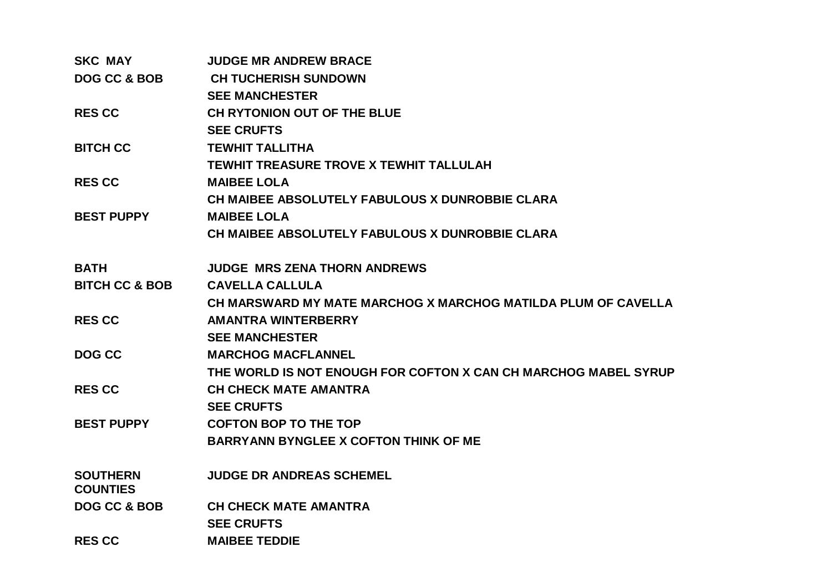| <b>SKC MAY</b>                     | <b>JUDGE MR ANDREW BRACE</b>                                    |
|------------------------------------|-----------------------------------------------------------------|
| <b>DOG CC &amp; BOB</b>            | <b>CH TUCHERISH SUNDOWN</b>                                     |
|                                    | <b>SEE MANCHESTER</b>                                           |
| <b>RES CC</b>                      | CH RYTONION OUT OF THE BLUE                                     |
|                                    | <b>SEE CRUFTS</b>                                               |
| <b>BITCH CC</b>                    | <b>TEWHIT TALLITHA</b>                                          |
|                                    | <b>TEWHIT TREASURE TROVE X TEWHIT TALLULAH</b>                  |
| <b>RES CC</b>                      | <b>MAIBEE LOLA</b>                                              |
|                                    | <b>CH MAIBEE ABSOLUTELY FABULOUS X DUNROBBIE CLARA</b>          |
| <b>BEST PUPPY</b>                  | <b>MAIBEE LOLA</b>                                              |
|                                    | CH MAIBEE ABSOLUTELY FABULOUS X DUNROBBIE CLARA                 |
| <b>BATH</b>                        | <b>JUDGE MRS ZENA THORN ANDREWS</b>                             |
| <b>BITCH CC &amp; BOB</b>          | <b>CAVELLA CALLULA</b>                                          |
|                                    | CH MARSWARD MY MATE MARCHOG X MARCHOG MATILDA PLUM OF CAVELLA   |
| <b>RES CC</b>                      | <b>AMANTRA WINTERBERRY</b>                                      |
|                                    | <b>SEE MANCHESTER</b>                                           |
| DOG CC                             | <b>MARCHOG MACFLANNEL</b>                                       |
|                                    | THE WORLD IS NOT ENOUGH FOR COFTON X CAN CH MARCHOG MABEL SYRUP |
| <b>RES CC</b>                      | <b>CH CHECK MATE AMANTRA</b>                                    |
|                                    | <b>SEE CRUFTS</b>                                               |
| <b>BEST PUPPY</b>                  | <b>COFTON BOP TO THE TOP</b>                                    |
|                                    | <b>BARRYANN BYNGLEE X COFTON THINK OF ME</b>                    |
| <b>SOUTHERN</b><br><b>COUNTIES</b> | <b>JUDGE DR ANDREAS SCHEMEL</b>                                 |
| DOG CC & BOB                       | <b>CH CHECK MATE AMANTRA</b>                                    |
|                                    | <b>SEE CRUFTS</b>                                               |
| <b>RES CC</b>                      | <b>MAIBEE TEDDIE</b>                                            |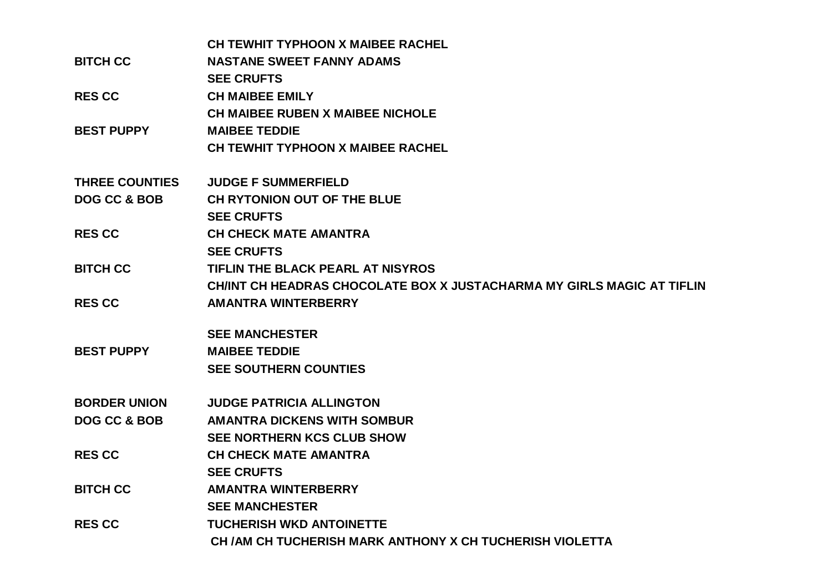|                         | <b>CH TEWHIT TYPHOON X MAIBEE RACHEL</b>                              |
|-------------------------|-----------------------------------------------------------------------|
| <b>BITCH CC</b>         | <b>NASTANE SWEET FANNY ADAMS</b>                                      |
|                         | <b>SEE CRUFTS</b>                                                     |
| <b>RES CC</b>           | <b>CH MAIBEE EMILY</b>                                                |
|                         | <b>CH MAIBEE RUBEN X MAIBEE NICHOLE</b>                               |
| <b>BEST PUPPY</b>       | <b>MAIBEE TEDDIE</b>                                                  |
|                         | CH TEWHIT TYPHOON X MAIBEE RACHEL                                     |
| <b>THREE COUNTIES</b>   | <b>JUDGE F SUMMERFIELD</b>                                            |
| <b>DOG CC &amp; BOB</b> | CH RYTONION OUT OF THE BLUE                                           |
|                         | <b>SEE CRUFTS</b>                                                     |
| <b>RES CC</b>           | <b>CH CHECK MATE AMANTRA</b>                                          |
|                         | <b>SEE CRUFTS</b>                                                     |
| <b>BITCH CC</b>         | TIFLIN THE BLACK PEARL AT NISYROS                                     |
|                         | CHINT CH HEADRAS CHOCOLATE BOX X JUSTACHARMA MY GIRLS MAGIC AT TIFLIN |
| <b>RES CC</b>           | <b>AMANTRA WINTERBERRY</b>                                            |
|                         | <b>SEE MANCHESTER</b>                                                 |
| <b>BEST PUPPY</b>       | <b>MAIBEE TEDDIE</b>                                                  |
|                         | <b>SEE SOUTHERN COUNTIES</b>                                          |
| <b>BORDER UNION</b>     | <b>JUDGE PATRICIA ALLINGTON</b>                                       |
| <b>DOG CC &amp; BOB</b> | <b>AMANTRA DICKENS WITH SOMBUR</b>                                    |
|                         | <b>SEE NORTHERN KCS CLUB SHOW</b>                                     |
| <b>RES CC</b>           | <b>CH CHECK MATE AMANTRA</b>                                          |
|                         | <b>SEE CRUFTS</b>                                                     |
| <b>BITCH CC</b>         | <b>AMANTRA WINTERBERRY</b>                                            |
|                         | <b>SEE MANCHESTER</b>                                                 |
| <b>RES CC</b>           | <b>TUCHERISH WKD ANTOINETTE</b>                                       |
|                         | CH / AM CH TUCHERISH MARK ANTHONY X CH TUCHERISH VIOLETTA             |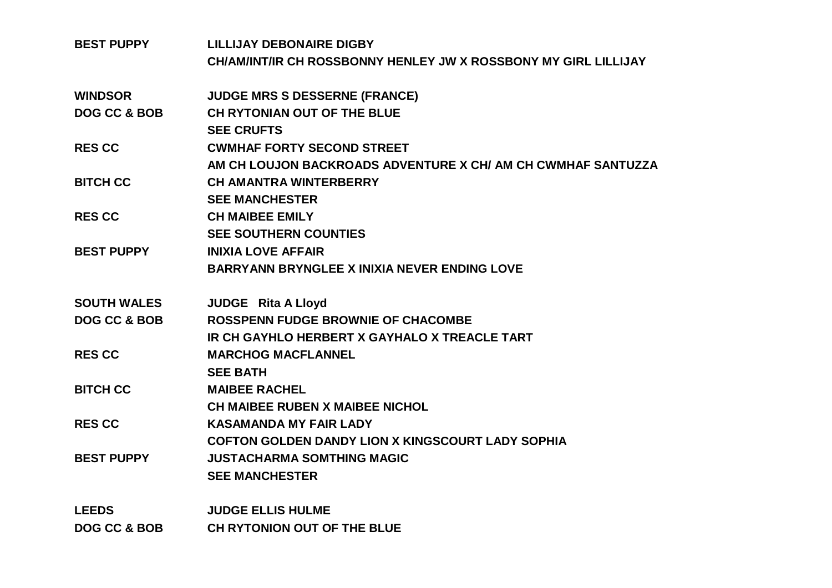| <b>BEST PUPPY</b>       | <b>LILLIJAY DEBONAIRE DIGBY</b>                                 |
|-------------------------|-----------------------------------------------------------------|
|                         | CH/AM/INT/IR CH ROSSBONNY HENLEY JW X ROSSBONY MY GIRL LILLIJAY |
| <b>WINDSOR</b>          | <b>JUDGE MRS S DESSERNE (FRANCE)</b>                            |
| DOG CC & BOB            | CH RYTONIAN OUT OF THE BLUE                                     |
|                         | <b>SEE CRUFTS</b>                                               |
| <b>RES CC</b>           | <b>CWMHAF FORTY SECOND STREET</b>                               |
|                         | AM CH LOUJON BACKROADS ADVENTURE X CH/ AM CH CWMHAF SANTUZZA    |
| <b>BITCH CC</b>         | <b>CH AMANTRA WINTERBERRY</b>                                   |
|                         | <b>SEE MANCHESTER</b>                                           |
| <b>RES CC</b>           | <b>CH MAIBEE EMILY</b>                                          |
|                         | <b>SEE SOUTHERN COUNTIES</b>                                    |
| <b>BEST PUPPY</b>       | <b>INIXIA LOVE AFFAIR</b>                                       |
|                         | <b>BARRYANN BRYNGLEE X INIXIA NEVER ENDING LOVE</b>             |
| <b>SOUTH WALES</b>      | <b>JUDGE</b> Rita A Lloyd                                       |
| <b>DOG CC &amp; BOB</b> | <b>ROSSPENN FUDGE BROWNIE OF CHACOMBE</b>                       |
|                         | IR CH GAYHLO HERBERT X GAYHALO X TREACLE TART                   |
| <b>RES CC</b>           | <b>MARCHOG MACFLANNEL</b>                                       |
|                         | <b>SEE BATH</b>                                                 |
| <b>BITCH CC</b>         | <b>MAIBEE RACHEL</b>                                            |
|                         | <b>CH MAIBEE RUBEN X MAIBEE NICHOL</b>                          |
| <b>RES CC</b>           | <b>KASAMANDA MY FAIR LADY</b>                                   |
|                         | <b>COFTON GOLDEN DANDY LION X KINGSCOURT LADY SOPHIA</b>        |
| <b>BEST PUPPY</b>       | <b>JUSTACHARMA SOMTHING MAGIC</b>                               |
|                         | <b>SEE MANCHESTER</b>                                           |
| <b>LEEDS</b>            | <b>JUDGE ELLIS HULME</b>                                        |
| <b>DOG CC &amp; BOB</b> | CH RYTONION OUT OF THE BLUE                                     |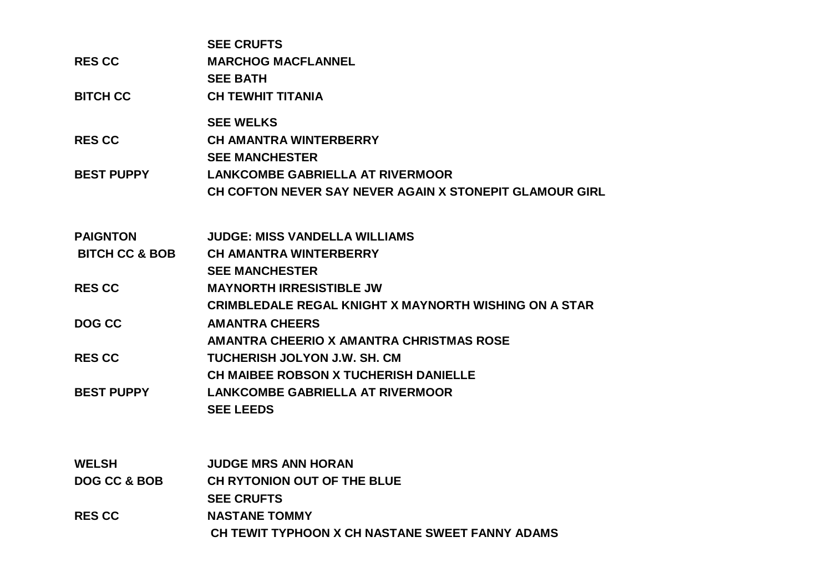| <b>RES CC</b><br><b>BITCH CC</b>        | <b>SEE CRUFTS</b><br><b>MARCHOG MACFLANNEL</b><br><b>SEE BATH</b><br><b>CH TEWHIT TITANIA</b>                               |
|-----------------------------------------|-----------------------------------------------------------------------------------------------------------------------------|
| <b>RES CC</b>                           | <b>SEE WELKS</b><br><b>CH AMANTRA WINTERBERRY</b>                                                                           |
| <b>BEST PUPPY</b>                       | <b>SEE MANCHESTER</b><br><b>LANKCOMBE GABRIELLA AT RIVERMOOR</b><br>CH COFTON NEVER SAY NEVER AGAIN X STONEPIT GLAMOUR GIRL |
| <b>PAIGNTON</b>                         | <b>JUDGE: MISS VANDELLA WILLIAMS</b>                                                                                        |
| <b>BITCH CC &amp; BOB</b>               | <b>CH AMANTRA WINTERBERRY</b><br><b>SEE MANCHESTER</b>                                                                      |
| <b>RESCC</b>                            | <b>MAYNORTH IRRESISTIBLE JW</b><br><b>CRIMBLEDALE REGAL KNIGHT X MAYNORTH WISHING ON A STAR</b>                             |
| DOG CC                                  | <b>AMANTRA CHEERS</b><br>AMANTRA CHEERIO X AMANTRA CHRISTMAS ROSE                                                           |
| <b>RES CC</b>                           | TUCHERISH JOLYON J.W. SH. CM<br>CH MAIBEE ROBSON X TUCHERISH DANIELLE                                                       |
| <b>BEST PUPPY</b>                       | <b>LANKCOMBE GABRIELLA AT RIVERMOOR</b><br><b>SEE LEEDS</b>                                                                 |
|                                         |                                                                                                                             |
| <b>WELSH</b><br><b>DOG CC &amp; BOB</b> | <b>JUDGE MRS ANN HORAN</b><br>CH RYTONION OUT OF THE BLUE                                                                   |
|                                         | <b>SEE CRUFTS</b>                                                                                                           |
| <b>RESCC</b>                            | <b>NASTANE TOMMY</b><br>CH TEWIT TYPHOON X CH NASTANE SWEET FANNY ADAMS                                                     |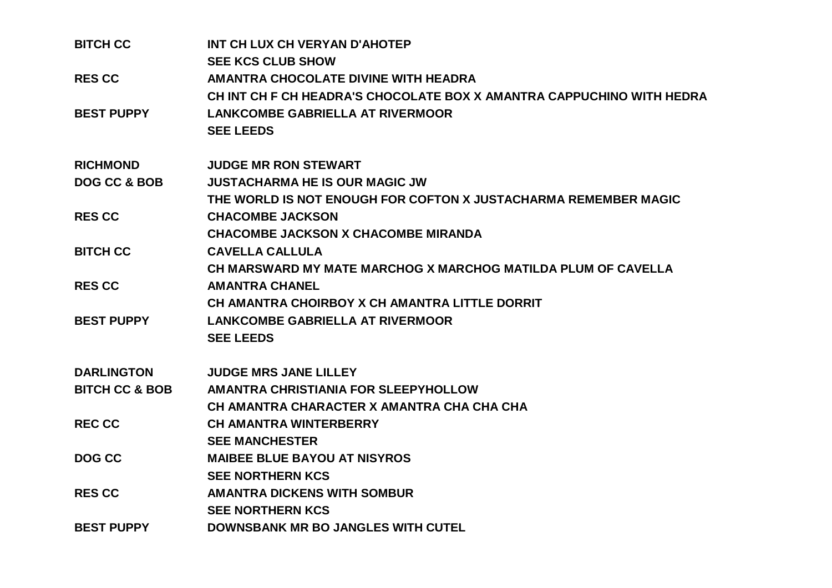| <b>BITCH CC</b>           | INT CH LUX CH VERYAN D'AHOTEP                                         |
|---------------------------|-----------------------------------------------------------------------|
|                           | <b>SEE KCS CLUB SHOW</b>                                              |
| <b>RES CC</b>             | <b>AMANTRA CHOCOLATE DIVINE WITH HEADRA</b>                           |
|                           | CH INT CH F CH HEADRA'S CHOCOLATE BOX X AMANTRA CAPPUCHINO WITH HEDRA |
| <b>BEST PUPPY</b>         | <b>LANKCOMBE GABRIELLA AT RIVERMOOR</b>                               |
|                           | <b>SEE LEEDS</b>                                                      |
| <b>RICHMOND</b>           | <b>JUDGE MR RON STEWART</b>                                           |
| <b>DOG CC &amp; BOB</b>   | <b>JUSTACHARMA HE IS OUR MAGIC JW</b>                                 |
|                           | THE WORLD IS NOT ENOUGH FOR COFTON X JUSTACHARMA REMEMBER MAGIC       |
| <b>RES CC</b>             | <b>CHACOMBE JACKSON</b>                                               |
|                           | <b>CHACOMBE JACKSON X CHACOMBE MIRANDA</b>                            |
| <b>BITCH CC</b>           | <b>CAVELLA CALLULA</b>                                                |
|                           | CH MARSWARD MY MATE MARCHOG X MARCHOG MATILDA PLUM OF CAVELLA         |
| <b>RES CC</b>             | <b>AMANTRA CHANEL</b>                                                 |
|                           | CH AMANTRA CHOIRBOY X CH AMANTRA LITTLE DORRIT                        |
| <b>BEST PUPPY</b>         | <b>LANKCOMBE GABRIELLA AT RIVERMOOR</b>                               |
|                           | <b>SEE LEEDS</b>                                                      |
| <b>DARLINGTON</b>         | <b>JUDGE MRS JANE LILLEY</b>                                          |
| <b>BITCH CC &amp; BOB</b> | <b>AMANTRA CHRISTIANIA FOR SLEEPYHOLLOW</b>                           |
|                           | CH AMANTRA CHARACTER X AMANTRA CHA CHA CHA                            |
| <b>REC CC</b>             | <b>CH AMANTRA WINTERBERRY</b>                                         |
|                           | <b>SEE MANCHESTER</b>                                                 |
| DOG CC                    | <b>MAIBEE BLUE BAYOU AT NISYROS</b>                                   |
|                           | <b>SEE NORTHERN KCS</b>                                               |
| <b>RES CC</b>             | <b>AMANTRA DICKENS WITH SOMBUR</b>                                    |
|                           | <b>SEE NORTHERN KCS</b>                                               |
| <b>BEST PUPPY</b>         | <b>DOWNSBANK MR BO JANGLES WITH CUTEL</b>                             |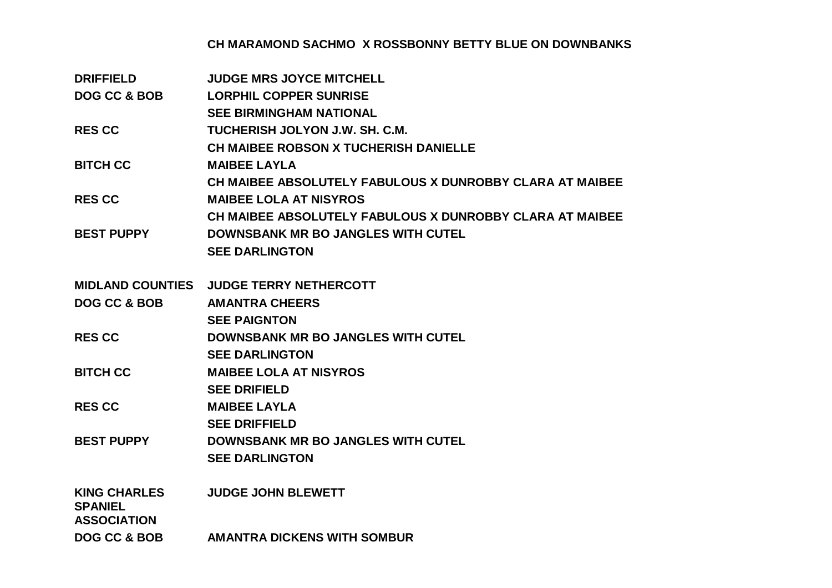## **CH MARAMOND SACHMO X ROSSBONNY BETTY BLUE ON DOWNBANKS**

| <b>DRIFFIELD</b>                     | <b>JUDGE MRS JOYCE MITCHELL</b>                          |
|--------------------------------------|----------------------------------------------------------|
| <b>DOG CC &amp; BOB</b>              | <b>LORPHIL COPPER SUNRISE</b>                            |
|                                      | <b>SEE BIRMINGHAM NATIONAL</b>                           |
| <b>RES CC</b>                        | TUCHERISH JOLYON J.W. SH. C.M.                           |
|                                      | <b>CH MAIBEE ROBSON X TUCHERISH DANIELLE</b>             |
| <b>BITCH CC</b>                      | <b>MAIBEE LAYLA</b>                                      |
|                                      | CH MAIBEE ABSOLUTELY FABULOUS X DUNROBBY CLARA AT MAIBEE |
| <b>RES CC</b>                        | <b>MAIBEE LOLA AT NISYROS</b>                            |
|                                      | CH MAIBEE ABSOLUTELY FABULOUS X DUNROBBY CLARA AT MAIBEE |
| <b>BEST PUPPY</b>                    | <b>DOWNSBANK MR BO JANGLES WITH CUTEL</b>                |
|                                      | <b>SEE DARLINGTON</b>                                    |
|                                      |                                                          |
| <b>MIDLAND COUNTIES</b>              | <b>JUDGE TERRY NETHERCOTT</b>                            |
| <b>DOG CC &amp; BOB</b>              | <b>AMANTRA CHEERS</b>                                    |
|                                      | <b>SEE PAIGNTON</b>                                      |
| <b>RES CC</b>                        | <b>DOWNSBANK MR BO JANGLES WITH CUTEL</b>                |
|                                      | <b>SEE DARLINGTON</b>                                    |
| <b>BITCH CC</b>                      | <b>MAIBEE LOLA AT NISYROS</b>                            |
|                                      | <b>SEE DRIFIELD</b>                                      |
| <b>RES CC</b>                        | <b>MAIBEE LAYLA</b>                                      |
|                                      | <b>SEE DRIFFIELD</b>                                     |
| <b>BEST PUPPY</b>                    | <b>DOWNSBANK MR BO JANGLES WITH CUTEL</b>                |
|                                      | <b>SEE DARLINGTON</b>                                    |
|                                      |                                                          |
| <b>KING CHARLES</b>                  | <b>JUDGE JOHN BLEWETT</b>                                |
| <b>SPANIEL</b><br><b>ASSOCIATION</b> |                                                          |
| DOG CC & BOB                         | <b>AMANTRA DICKENS WITH SOMBUR</b>                       |
|                                      |                                                          |